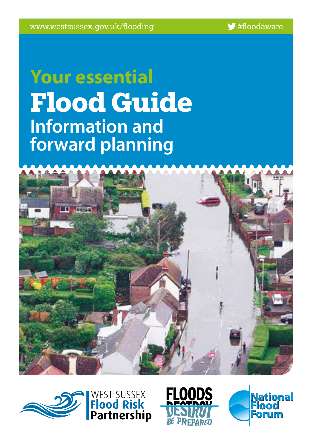# **Your essential Flood Guide Information and forward planning**







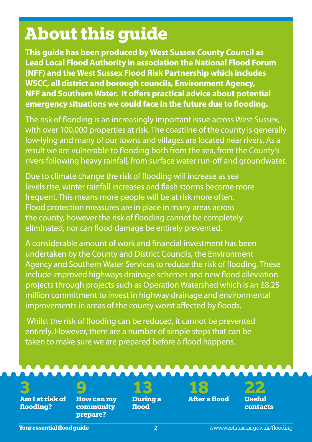# **About this guide**

**This guide has been produced by West Sussex County Council as Lead Local Flood Authority in association the National Flood Forum (NFF) and the West Sussex Flood Risk Partnership which includes WSCC, all district and borough councils, Environment Agency, NFF and Southern Water. It offers practical advice about potential emergency situations we could face in the future due to flooding.**

The risk of flooding is an increasingly important issue across West Sussex, with over 100,000 properties at risk. The coastline of the county is generally low-lying and many of our towns and villages are located near rivers. As a result we are vulnerable to flooding both from the sea, from the County's rivers following heavy rainfall, from surface water run-off and groundwater.

Due to climate change the risk of flooding will increase as sea levels rise, winter rainfall increases and flash storms become more frequent. This means more people will be at risk more often. Flood protection measures are in place in many areas across the county, however the risk of flooding cannot be completely eliminated, nor can flood damage be entirely prevented.

A considerable amount of work and financial investment has been undertaken by the County and District Councils, the Environment Agency and Southern Water Services to reduce the risk of flooding. These include improved highways drainage schemes and new flood alleviation projects through projects such as Operation Watershed which is an £8.25 million commitment to invest in highway drainage and environmental improvements in areas of the county worst affected by floods.

 Whilst the risk of flooding can be reduced, it cannot be prevented entirely. However, there are a number of simple steps that can be taken to make sure we are prepared before a flood happens.

**3 Am I at risk of flooding?**

**9 How can my community prepare?**



**13 During a flood**

**18 After a flood** 

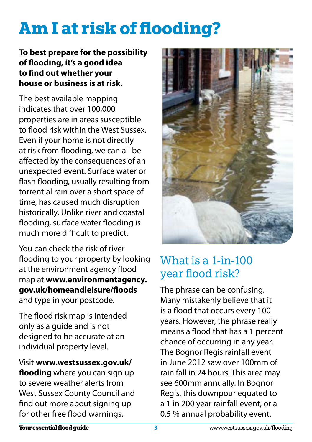# **Am I at risk of flooding?**

#### **To best prepare for the possibility of flooding, it's a good idea to find out whether your house or business is at risk.**

The best available mapping indicates that over 100,000 properties are in areas susceptible to flood risk within the West Sussex. Even if your home is not directly at risk from flooding, we can all be affected by the consequences of an unexpected event. Surface water or flash flooding, usually resulting from torrential rain over a short space of time, has caused much disruption historically. Unlike river and coastal flooding, surface water flooding is much more difficult to predict.

You can check the risk of river flooding to your property by looking at the environment agency flood map at **www.environmentagency. gov.uk/homeandleisure/floods** and type in your postcode.

The flood risk map is intended only as a guide and is not designed to be accurate at an individual property level.

Visit **www.westsussex.gov.uk/ flooding** where you can sign up to severe weather alerts from West Sussex County Council and find out more about signing up for other free flood warnings.



## What is a 1-in-100 year flood risk?

The phrase can be confusing. Many mistakenly believe that it is a flood that occurs every 100 years. However, the phrase really means a flood that has a 1 percent chance of occurring in any year. The Bognor Regis rainfall event in June 2012 saw over 100mm of rain fall in 24 hours. This area may see 600mm annually. In Bognor Regis, this downpour equated to a 1 in 200 year rainfall event, or a 0.5 % annual probability event.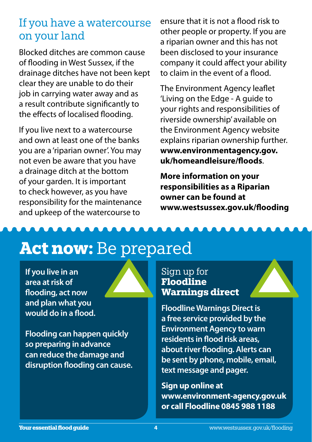#### If you have a watercourse on your land

Blocked ditches are common cause of flooding in West Sussex, if the drainage ditches have not been kept clear they are unable to do their job in carrying water away and as a result contribute significantly to the effects of localised flooding.

If you live next to a watercourse and own at least one of the banks you are a 'riparian owner'. You may not even be aware that you have a drainage ditch at the bottom of your garden. It is important to check however, as you have responsibility for the maintenance and upkeep of the watercourse to

ensure that it is not a flood risk to other people or property. If you are a riparian owner and this has not been disclosed to your insurance company it could affect your ability to claim in the event of a flood.

The Environment Agency leaflet 'Living on the Edge - A guide to your rights and responsibilities of riverside ownership' available on the Environment Agency website explains riparian ownership further. **www.environmentagency.gov. uk/homeandleisure/floods**.

**More information on your responsibilities as a Riparian owner can be found at www.westsussex.gov.uk/flooding**

# **Act now:** Be prepared

**If you live in an area at risk of flooding, act now and plan what you would do in a flood.** 

**Flooding can happen quickly so preparing in advance can reduce the damage and disruption flooding can cause.** 



**Floodline Warnings Direct is a free service provided by the Environment Agency to warn residents in flood risk areas, about river flooding. Alerts can be sent by phone, mobile, email, text message and pager.** 

**Sign up online at www.environment-agency.gov.uk or call Floodline 0845 988 1188**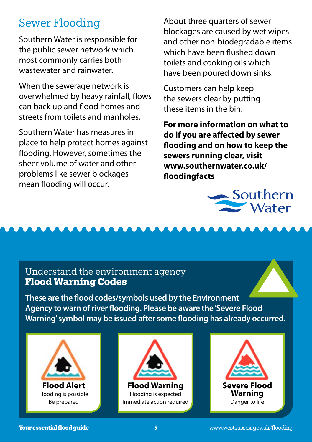#### Sewer Flooding

Southern Water is responsible for the public sewer network which most commonly carries both wastewater and rainwater.

When the sewerage network is overwhelmed by heavy rainfall, flows can back up and flood homes and streets from toilets and manholes.

Southern Water has measures in place to help protect homes against flooding. However, sometimes the sheer volume of water and other problems like sewer blockages mean flooding will occur.

About three quarters of sewer blockages are caused by wet wipes and other non-biodegradable items which have been flushed down toilets and cooking oils which have been poured down sinks.

Customers can help keep the sewers clear by putting these items in the bin.

**For more information on what to do if you are affected by sewer flooding and on how to keep the sewers running clear, visit www.southernwater.co.uk/ floodingfacts**



#### Understand the environment agency **Flood Warning Codes**

**These are the flood codes/symbols used by the Environment Agency to warn of river flooding. Please be aware the 'Severe Flood Warning' symbol may be issued after some flooding has already occurred.** 





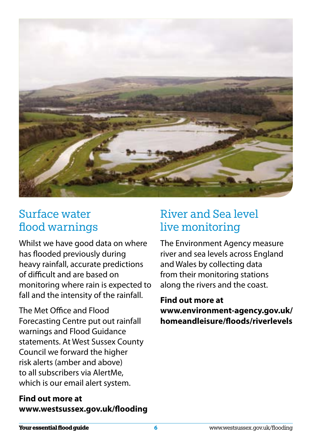

## Surface water flood warnings

Whilst we have good data on where has flooded previously during heavy rainfall, accurate predictions of difficult and are based on monitoring where rain is expected to fall and the intensity of the rainfall.

The Met Office and Flood Forecasting Centre put out rainfall warnings and Flood Guidance statements. At West Sussex County Council we forward the higher risk alerts (amber and above) to all subscribers via AlertMe, which is our email alert system.

#### **Find out more at www.westsussex.gov.uk/flooding**

# River and Sea level live monitoring

The Environment Agency measure river and sea levels across England and Wales by collecting data from their monitoring stations along the rivers and the coast.

**Find out more at www.environment-agency.gov.uk/ homeandleisure/floods/riverlevels**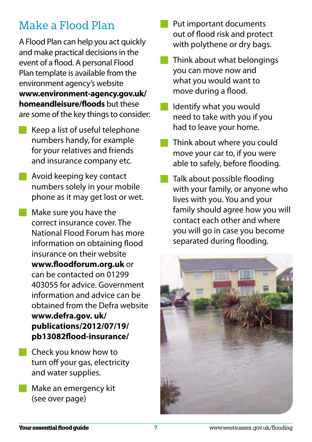# Make a Flood Plan

A Flood Plan can help you act quickly and make practical decisions in the event of a flood. A personal Flood Plan template is available from the environment agency's website **www.environment-agency.gov.uk/ homeandleisure/floods** but these are some of the key things to consider:

- Keep a list of useful telephone numbers handy, for example for your relatives and friends and insurance company etc.
- **Avoid keeping key contact** numbers solely in your mobile phone as it may get lost or wet.
- Make sure you have the correct insurance cover. The National Flood Forum has more information on obtaining flood insurance on their website **www.floodforum.org.uk** or can be contacted on 01299 403055 for advice. Government information and advice can be obtained from the Defra website **www.defra.gov. uk/ publications/2012/07/19/ pb13082flood-insurance/**
- **Check you know how to** turn off your gas, electricity and water supplies.
- **Make an emergency kit** (see over page)
- Put important documents out of flood risk and protect with polythene or dry bags.
- Think about what belongings you can move now and what you would want to move during a flood.
- Identify what you would need to take with you if you had to leave your home.
- Think about where you could move your car to, if you were able to safely, before flooding.
- Talk about possible flooding with your family, or anyone who lives with you. You and your family should agree how you will contact each other and where you will go in case you become separated during flooding.

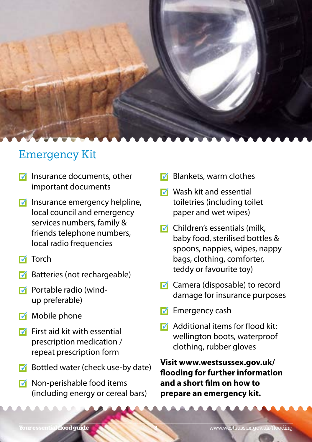

#### Emergency Kit

- $\nabla$  Insurance documents, other important documents
- $\blacksquare$  Insurance emergency helpline, local council and emergency services numbers, family & friends telephone numbers, local radio frequencies
- $\blacksquare$  Torch
- Batteries (not rechargeable)
- Portable radio (wind-M up preferable)
- $\blacksquare$  Mobile phone
- $\overline{V}$  First aid kit with essential prescription medication / repeat prescription form
- $\blacksquare$  Bottled water (check use-by date)
- $\blacksquare$  Non-perishable food items (including energy or cereal bars)
- $\nabla$  Blankets, warm clothes
- $\nabla$  Wash kit and essential toiletries (including toilet paper and wet wipes)
- $\nabla$  Children's essentials (milk, baby food, sterilised bottles & spoons, nappies, wipes, nappy bags, clothing, comforter, teddy or favourite toy)
- $\blacksquare$  Camera (disposable) to record damage for insurance purposes
- Emergency cash  $\overline{\mathcal{M}}$
- $\sqrt{\phantom{a}}$  Additional items for flood kit: wellington boots, waterproof clothing, rubber gloves

**Visit www.westsussex.gov.uk/ flooding for further information and a short film on how to prepare an emergency kit.**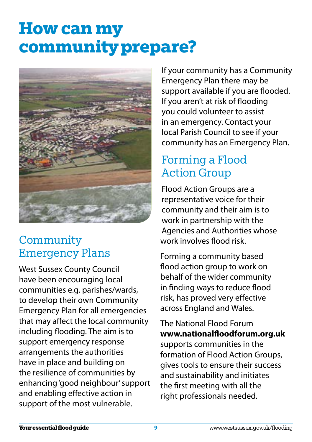# **How can my community prepare?**



## **Community** Emergency Plans

West Sussex County Council have been encouraging local communities e.g. parishes/wards, to develop their own Community Emergency Plan for all emergencies that may affect the local community including flooding. The aim is to support emergency response arrangements the authorities have in place and building on the resilience of communities by enhancing 'good neighbour' support and enabling effective action in support of the most vulnerable.

If your community has a Community Emergency Plan there may be support available if you are flooded. If you aren't at risk of flooding you could volunteer to assist in an emergency. Contact your local Parish Council to see if your community has an Emergency Plan.

## Forming a Flood Action Group

Flood Action Groups are a representative voice for their community and their aim is to work in partnership with the Agencies and Authorities whose work involves flood risk.

Forming a community based flood action group to work on behalf of the wider community in finding ways to reduce flood risk, has proved very effective across England and Wales.

The National Flood Forum **www.nationalfloodforum.org.uk**  supports communities in the formation of Flood Action Groups, gives tools to ensure their success and sustainability and initiates the first meeting with all the right professionals needed.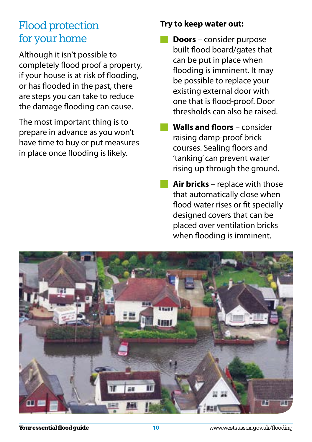### Flood protection for your home

Although it isn't possible to completely flood proof a property, if your house is at risk of flooding, or has flooded in the past, there are steps you can take to reduce the damage flooding can cause.

The most important thing is to prepare in advance as you won't have time to buy or put measures in place once flooding is likely.

#### **Try to keep water out:**

- **Doors** consider purpose built flood board/gates that can be put in place when flooding is imminent. It may be possible to replace your existing external door with one that is flood-proof. Door thresholds can also be raised.
- **Walls and floors** consider raising damp-proof brick courses. Sealing floors and 'tanking' can prevent water rising up through the ground.
- **Air bricks** replace with those that automatically close when flood water rises or fit specially designed covers that can be placed over ventilation bricks when flooding is imminent.

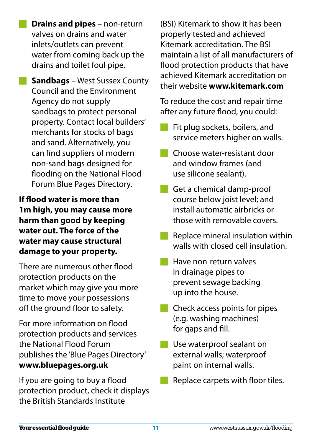**Drains and pipes** – non-return valves on drains and water inlets/outlets can prevent water from coming back up the drains and toilet foul pipe.

**Sandbags** – West Sussex County Council and the Environment Agency do not supply sandbags to protect personal property. Contact local builders' merchants for stocks of bags and sand. Alternatively, you can find suppliers of modern non-sand bags designed for flooding on the National Flood Forum Blue Pages Directory.

**If flood water is more than 1m high, you may cause more harm than good by keeping water out. The force of the water may cause structural damage to your property.** 

There are numerous other flood protection products on the market which may give you more time to move your possessions off the ground floor to safety.

For more information on flood protection products and services the National Flood Forum publishes the 'Blue Pages Directory' **www.bluepages.org.uk**

If you are going to buy a flood protection product, check it displays the British Standards Institute

(BSI) Kitemark to show it has been properly tested and achieved Kitemark accreditation. The BSI maintain a list of all manufacturers of flood protection products that have achieved Kitemark accreditation on their website **www.kitemark.com**

To reduce the cost and repair time after any future flood, you could:

- Fit plug sockets, boilers, and service meters higher on walls.
- Choose water-resistant door and window frames (and use silicone sealant).
- Get a chemical damp-proof course below joist level; and install automatic airbricks or those with removable covers.
- **Replace mineral insulation within** walls with closed cell insulation.
- Have non-return valves in drainage pipes to prevent sewage backing up into the house.
- Check access points for pipes (e.g. washing machines) for gaps and fill.
- Use waterproof sealant on external walls; waterproof paint on internal walls.
- Replace carpets with floor tiles.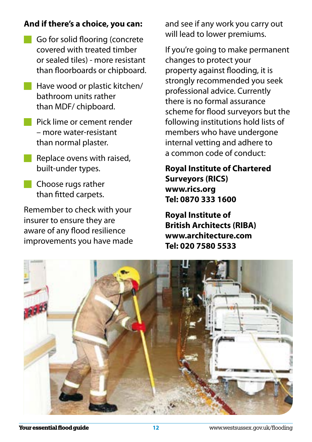#### **And if there's a choice, you can:**

- Go for solid flooring (concrete covered with treated timber or sealed tiles) - more resistant than floorboards or chipboard.
- **Have wood or plastic kitchen/** bathroom units rather than MDF/ chipboard.
	- Pick lime or cement render – more water-resistant than normal plaster.
- $\blacksquare$  Replace ovens with raised, built-under types.
- **Choose rugs rather** than fitted carpets.

Remember to check with your insurer to ensure they are aware of any flood resilience improvements you have made and see if any work you carry out will lead to lower premiums.

If you're going to make permanent changes to protect your property against flooding, it is strongly recommended you seek professional advice. Currently there is no formal assurance scheme for flood surveyors but the following institutions hold lists of members who have undergone internal vetting and adhere to a common code of conduct:

#### **Royal Institute of Chartered Surveyors (RICS) www.rics.org Tel: 0870 333 1600**

**Royal Institute of British Architects (RIBA) www.architecture.com Tel: 020 7580 5533**

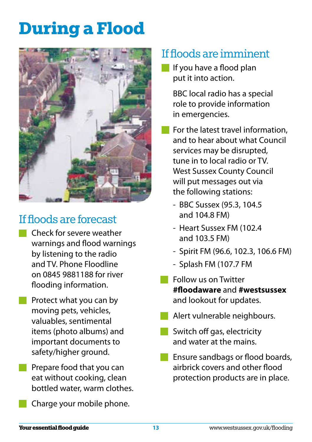# **During a Flood**



# If floods are forecast

- Check for severe weather warnings and flood warnings by listening to the radio and TV. Phone Floodline on 0845 9881188 for river flooding information.
- **Protect what you can by** moving pets, vehicles, valuables, sentimental items (photo albums) and important documents to safety/higher ground.
- **Prepare food that you can** eat without cooking, clean bottled water, warm clothes.
	- Charge your mobile phone.

## If floods are imminent

If you have a flood plan put it into action.

> BBC local radio has a special role to provide information in emergencies.

- **For the latest travel information.** and to hear about what Council services may be disrupted, tune in to local radio or TV. West Sussex County Council will put messages out via the following stations:
	- BBC Sussex (95.3, 104.5 and 104.8 FM)
	- Heart Sussex FM (102.4 and 103.5 FM)
	- Spirit FM (96.6, 102.3, 106.6 FM)
	- Splash FM (107.7 FM
- **Follow us on Twitter #floodaware** and **#westsussex**  and lookout for updates.
- Alert vulnerable neighbours.
- Switch off gas, electricity and water at the mains.
- Ensure sandbags or flood boards, airbrick covers and other flood protection products are in place.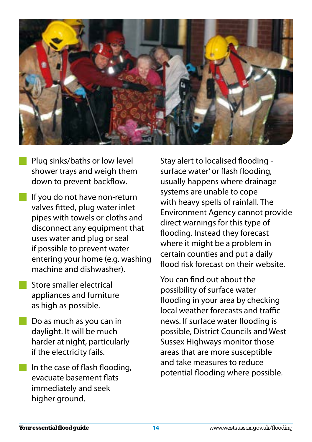

- Plug sinks/baths or low level shower trays and weigh them down to prevent backflow.
- If you do not have non-return valves fitted, plug water inlet pipes with towels or cloths and disconnect any equipment that uses water and plug or seal if possible to prevent water entering your home (e.g. washing machine and dishwasher).
- Store smaller electrical appliances and furniture as high as possible.
- **Do as much as you can in** daylight. It will be much harder at night, particularly if the electricity fails.
- $\blacksquare$  In the case of flash flooding, evacuate basement flats immediately and seek higher ground.

Stay alert to localised flooding surface water' or flash flooding, usually happens where drainage systems are unable to cope with heavy spells of rainfall. The Environment Agency cannot provide direct warnings for this type of flooding. Instead they forecast where it might be a problem in certain counties and put a daily flood risk forecast on their website.

You can find out about the possibility of surface water flooding in your area by checking local weather forecasts and traffic news. If surface water flooding is possible, District Councils and West Sussex Highways monitor those areas that are more susceptible and take measures to reduce potential flooding where possible.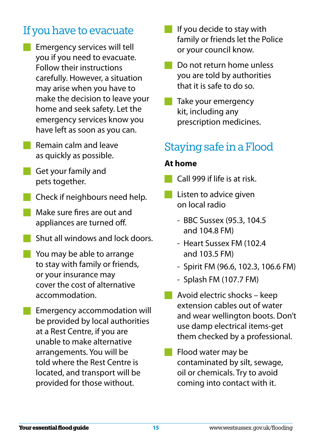# If you have to evacuate

- Emergency services will tell you if you need to evacuate. Follow their instructions carefully. However, a situation may arise when you have to make the decision to leave your home and seek safety. Let the emergency services know you have left as soon as you can.
- Remain calm and leave as quickly as possible.
- Get your family and pets together.
- Check if neighbours need help.
- Make sure fires are out and appliances are turned off.
- Shut all windows and lock doors.
- You may be able to arrange to stay with family or friends, or your insurance may cover the cost of alternative accommodation.
- Emergency accommodation will be provided by local authorities at a Rest Centre, if you are unable to make alternative arrangements. You will be told where the Rest Centre is located, and transport will be provided for those without.
- If you decide to stay with family or friends let the Police or your council know.
- Do not return home unless you are told by authorities that it is safe to do so.
- Take your emergency kit, including any prescription medicines.

## Staying safe in a Flood

#### **At home**

- Call 999 if life is at risk.
- **Listen to advice given** on local radio
	- BBC Sussex (95.3, 104.5 and 104.8 FM)
	- Heart Sussex FM (102.4 and 103.5 FM)
	- Spirit FM (96.6, 102.3, 106.6 FM)
	- Splash FM (107.7 FM)
- Avoid electric shocks keep extension cables out of water and wear wellington boots. Don't use damp electrical items-get them checked by a professional.
- Flood water may be contaminated by silt, sewage, oil or chemicals. Try to avoid coming into contact with it.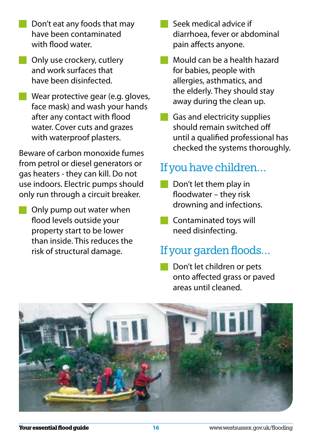- Don't eat any foods that may have been contaminated with flood water.
- **Only use crockery, cutlery** and work surfaces that have been disinfected.
- Wear protective gear (e.g. gloves, face mask) and wash your hands after any contact with flood water. Cover cuts and grazes with waterproof plasters.

Beware of carbon monoxide fumes from petrol or diesel generators or gas heaters - they can kill. Do not use indoors. Electric pumps should only run through a circuit breaker.

Only pump out water when flood levels outside your property start to be lower than inside. This reduces the risk of structural damage.

- Seek medical advice if diarrhoea, fever or abdominal pain affects anyone.
- Mould can be a health hazard for babies, people with allergies, asthmatics, and the elderly. They should stay away during the clean up.
- Gas and electricity supplies should remain switched off until a qualified professional has checked the systems thoroughly.

## If you have children…

- Don't let them play in floodwater – they risk drowning and infections.
- **Contaminated toys will** need disinfecting.

#### If your garden floods…

Don't let children or pets onto affected grass or paved areas until cleaned.

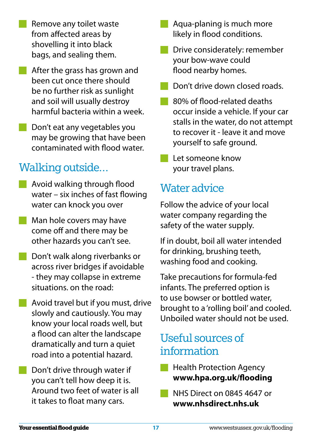- Remove any toilet waste from affected areas by shovelling it into black bags, and sealing them.
- **After the grass has grown and** been cut once there should be no further risk as sunlight and soil will usually destroy harmful bacteria within a week.
- Don't eat any vegetables you may be growing that have been contaminated with flood water.

## Walking outside…

- Avoid walking through flood water – six inches of fast flowing water can knock you over
- **Man hole covers may have** come off and there may be other hazards you can't see.
- Don't walk along riverbanks or across river bridges if avoidable - they may collapse in extreme situations. on the road:
- **Avoid travel but if you must, drive** slowly and cautiously. You may know your local roads well, but a flood can alter the landscape dramatically and turn a quiet road into a potential hazard.
	- Don't drive through water if you can't tell how deep it is. Around two feet of water is all it takes to float many cars.
- Aqua-planing is much more likely in flood conditions.
- Drive considerately: remember your bow-wave could flood nearby homes.
- Don't drive down closed roads.
- 80% of flood-related deaths occur inside a vehicle. If your car stalls in the water, do not attempt to recover it - leave it and move yourself to safe ground.
- Let someone know your travel plans.

#### Water advice

Follow the advice of your local water company regarding the safety of the water supply.

If in doubt, boil all water intended for drinking, brushing teeth, washing food and cooking.

Take precautions for formula-fed infants. The preferred option is to use bowser or bottled water, brought to a 'rolling boil' and cooled. Unboiled water should not be used.

#### Useful sources of information

- Health Protection Agency **www.hpa.org.uk/flooding**
- NHS Direct on 0845 4647 or **www.nhsdirect.nhs.uk**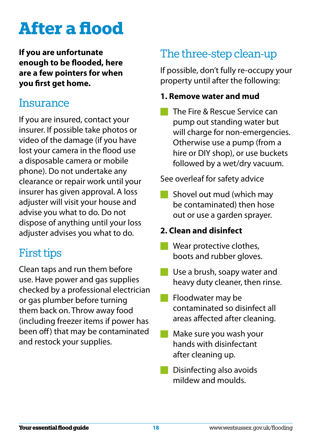# **After a flood**

**If you are unfortunate enough to be flooded, here are a few pointers for when you first get home.** 

#### **Insurance**

If you are insured, contact your insurer. If possible take photos or video of the damage (if you have lost your camera in the flood use a disposable camera or mobile phone). Do not undertake any clearance or repair work until your insurer has given approval. A loss adjuster will visit your house and advise you what to do. Do not dispose of anything until your loss adjuster advises you what to do.

## First tips

Clean taps and run them before use. Have power and gas supplies checked by a professional electrician or gas plumber before turning them back on. Throw away food (including freezer items if power has been off) that may be contaminated and restock your supplies.

# The three-step clean-up

If possible, don't fully re-occupy your property until after the following:

#### **1. Remove water and mud**

The Fire & Rescue Service can pump out standing water but will charge for non-emergencies. Otherwise use a pump (from a hire or DIY shop), or use buckets followed by a wet/dry vacuum.

See overleaf for safety advice

Shovel out mud (which may be contaminated) then hose out or use a garden sprayer.

#### **2. Clean and disinfect**

- Wear protective clothes, boots and rubber gloves.
- Use a brush, soapy water and heavy duty cleaner, then rinse.
- Floodwater may be m. contaminated so disinfect all areas affected after cleaning.
- Make sure you wash your hands with disinfectant after cleaning up.
- Disinfecting also avoids mildew and moulds.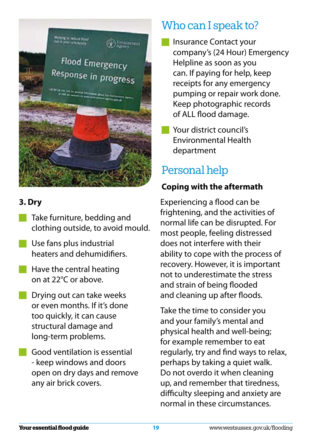

#### **3. Dry**

- Take furniture, bedding and clothing outside, to avoid mould.
- Use fans plus industrial heaters and dehumidifiers.
- $\blacksquare$  Have the central heating on at 22°C or above.
- **Drying out can take weeks** or even months. If it's done too quickly, it can cause structural damage and long-term problems.
	- Good ventilation is essential - keep windows and doors open on dry days and remove any air brick covers.

# Who can I speak to?

- Insurance Contact your company's (24 Hour) Emergency Helpline as soon as you can. If paying for help, keep receipts for any emergency pumping or repair work done. Keep photographic records of ALL flood damage.
- **Nour district council's** Environmental Health department

# Personal help

#### **Coping with the aftermath**

Experiencing a flood can be frightening, and the activities of normal life can be disrupted. For most people, feeling distressed does not interfere with their ability to cope with the process of recovery. However, it is important not to underestimate the stress and strain of being flooded and cleaning up after floods.

Take the time to consider you and your family's mental and physical health and well-being; for example remember to eat regularly, try and find ways to relax, perhaps by taking a quiet walk. Do not overdo it when cleaning up, and remember that tiredness, difficulty sleeping and anxiety are normal in these circumstances.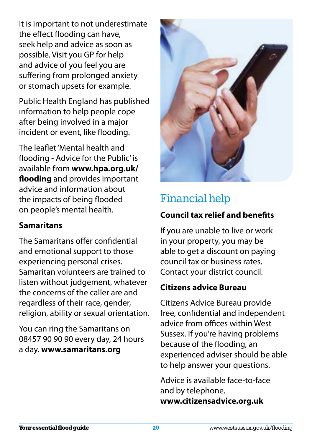It is important to not underestimate the effect flooding can have, seek help and advice as soon as possible. Visit you GP for help and advice of you feel you are suffering from prolonged anxiety or stomach upsets for example.

Public Health England has published information to help people cope after being involved in a major incident or event, like flooding.

The leaflet 'Mental health and flooding - Advice for the Public' is available from **www.hpa.org.uk/ flooding** and provides important advice and information about the impacts of being flooded on people's mental health.

#### **Samaritans**

The Samaritans offer confidential and emotional support to those experiencing personal crises. Samaritan volunteers are trained to listen without judgement, whatever the concerns of the caller are and regardless of their race, gender, religion, ability or sexual orientation.

You can ring the Samaritans on 08457 90 90 90 every day, 24 hours a day. **www.samaritans.org** 



# Financial help

#### **Council tax relief and benefits**

If you are unable to live or work in your property, you may be able to get a discount on paying council tax or business rates. Contact your district council.

#### **Citizens advice Bureau**

Citizens Advice Bureau provide free, confidential and independent advice from offices within West Sussex. If you're having problems because of the flooding, an experienced adviser should be able to help answer your questions.

Advice is available face-to-face and by telephone. **www.citizensadvice.org.uk**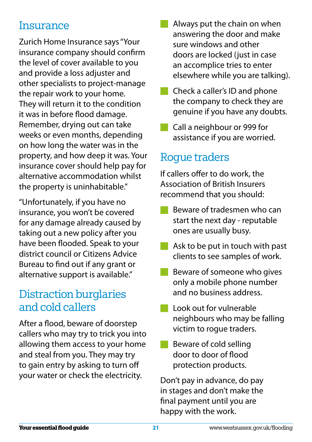#### **Insurance**

Zurich Home Insurance says "Your insurance company should confirm the level of cover available to you and provide a loss adjuster and other specialists to project-manage the repair work to your home. They will return it to the condition it was in before flood damage. Remember, drying out can take weeks or even months, depending on how long the water was in the property, and how deep it was. Your insurance cover should help pay for alternative accommodation whilst the property is uninhabitable."

"Unfortunately, if you have no insurance, you won't be covered for any damage already caused by taking out a new policy after you have been flooded. Speak to your district council or Citizens Advice Bureau to find out if any grant or alternative support is available."

## Distraction burglaries and cold callers

After a flood, beware of doorstep callers who may try to trick you into allowing them access to your home and steal from you. They may try to gain entry by asking to turn off your water or check the electricity.

- Always put the chain on when answering the door and make sure windows and other doors are locked (just in case an accomplice tries to enter elsewhere while you are talking).
- **Check a caller's ID and phone** the company to check they are genuine if you have any doubts.
- Call a neighbour or 999 for assistance if you are worried.

## Roque traders

If callers offer to do work, the Association of British Insurers recommend that you should:

- Beware of tradesmen who can start the next day - reputable ones are usually busy.
- $\blacksquare$  Ask to be put in touch with past clients to see samples of work.
- Beware of someone who gives only a mobile phone number and no business address.
- **Look out for vulnerable** neighbours who may be falling victim to rogue traders.
- Beware of cold selling door to door of flood protection products.

Don't pay in advance, do pay in stages and don't make the final payment until you are happy with the work.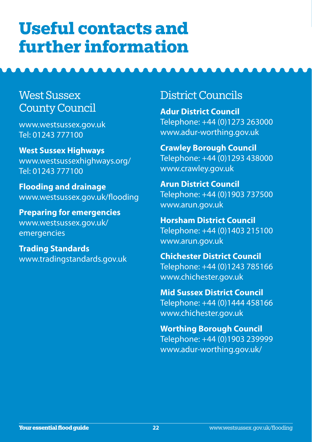# **Useful contacts and further information**

#### West Sussex County Council

www.westsussex.gov.uk Tel: 01243 777100

**West Sussex Highways**  www.westsussexhighways.org/ Tel: 01243 777100

**Flooding and drainage**  www.westsussex.gov.uk/flooding

**Preparing for emergencies**  www.westsussex.gov.uk/ emergencies

**Trading Standards**  www.tradingstandards.gov.uk

#### District Councils

**Adur District Council**  Telephone: +44 (0)1273 263000 www.adur-worthing.gov.uk

**Crawley Borough Council** Telephone: +44 (0)1293 438000 www.crawley.gov.uk

**Arun District Council** Telephone: +44 (0)1903 737500 www.arun.gov.uk

**Horsham District Council** Telephone: +44 (0)1403 215100 www.arun.gov.uk

**Chichester District Council** Telephone: +44 (0)1243 785166 www.chichester.gov.uk

**Mid Sussex District Council** Telephone: +44 (0)1444 458166 www.chichester.gov.uk

**Worthing Borough Council** Telephone: +44 (0)1903 239999 www.adur-worthing.gov.uk/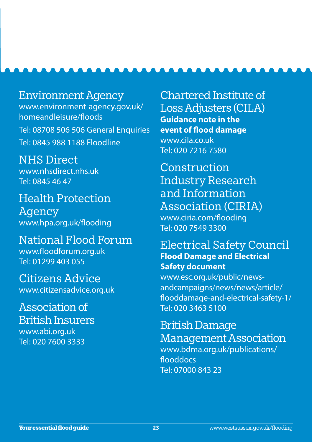Environment Agency www.environment-agency.gov.uk/ homeandleisure/floods Tel: 08708 506 506 General Enquiries Tel: 0845 988 1188 Floodline

NHS Direct www.nhsdirect.nhs.uk Tel: 0845 46 47

Health Protection Agency www.hpa.org.uk/flooding

National Flood Forum www.floodforum.org.uk Tel: 01299 403 055

Citizens Advice www.citizensadvice.org.uk

Association of British Insurers www.abi.org.uk Tel: 020 7600 3333

Chartered Institute of Loss Adjusters (CILA) **Guidance note in the event of flood damage**  www.cila.co.uk Tel: 020 7216 7580

Construction Industry Research and Information Association (CIRIA) www.ciria.com/flooding Tel: 020 7549 3300

#### Electrical Safety Council **Flood Damage and Electrical Safety document**

www.esc.org.uk/public/newsandcampaigns/news/news/article/ flooddamage-and-electrical-safety-1/ Tel: 020 3463 5100

British Damage Management Association www.bdma.org.uk/publications/ flooddocs Tel: 07000 843 23